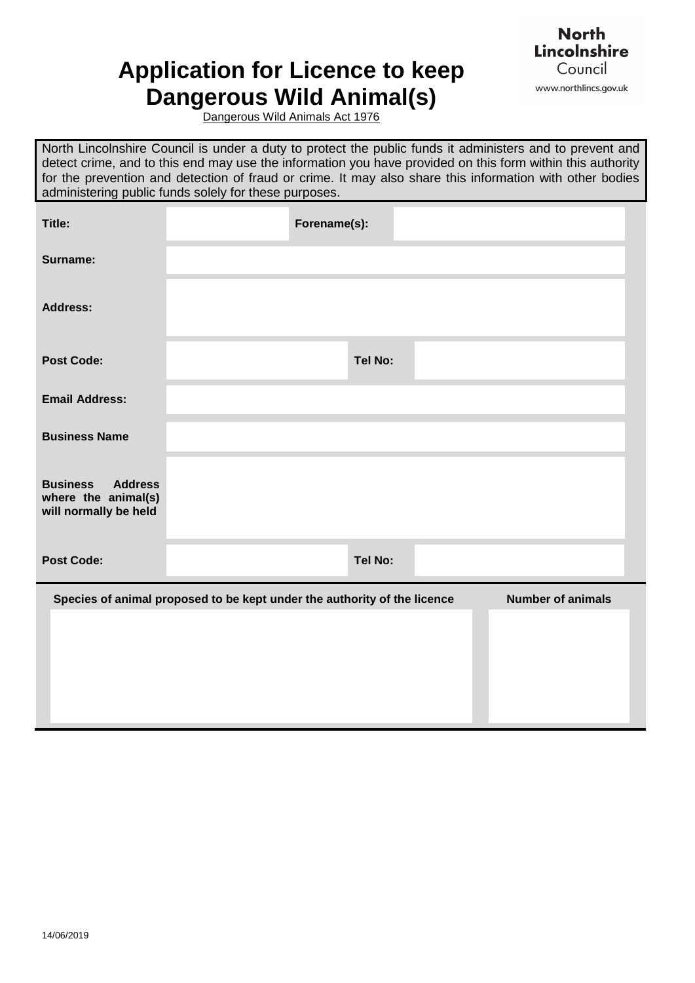## **Application for Licence to keep Dangerous Wild Animal(s)**



Dangerous Wild Animals Act 1976

North Lincolnshire Council is under a duty to protect the public funds it administers and to prevent and detect crime, and to this end may use the information you have provided on this form within this authority for the prevention and detection of fraud or crime. It may also share this information with other bodies administering public funds solely for these purposes.

| Title:                                                                            | Forename(s):                                                             |                          |
|-----------------------------------------------------------------------------------|--------------------------------------------------------------------------|--------------------------|
| Surname:                                                                          |                                                                          |                          |
| <b>Address:</b>                                                                   |                                                                          |                          |
| <b>Post Code:</b>                                                                 | Tel No:                                                                  |                          |
| <b>Email Address:</b>                                                             |                                                                          |                          |
| <b>Business Name</b>                                                              |                                                                          |                          |
| <b>Business</b><br><b>Address</b><br>where the animal(s)<br>will normally be held |                                                                          |                          |
| <b>Post Code:</b>                                                                 | Tel No:                                                                  |                          |
|                                                                                   | Species of animal proposed to be kept under the authority of the licence | <b>Number of animals</b> |
|                                                                                   |                                                                          |                          |
|                                                                                   |                                                                          |                          |
|                                                                                   |                                                                          |                          |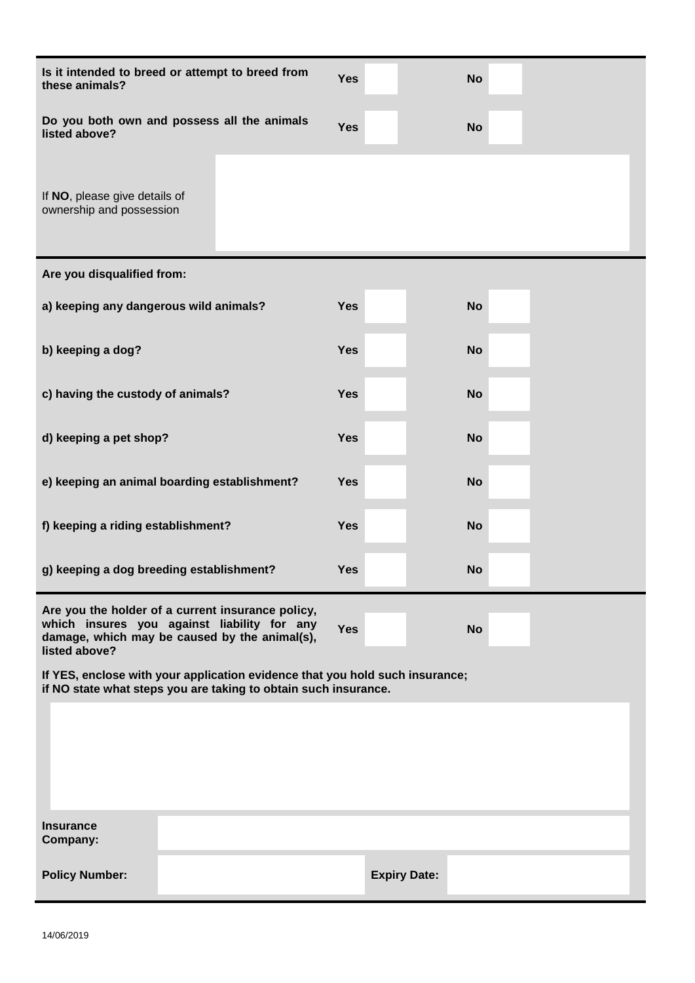| Is it intended to breed or attempt to breed from<br>these animals?                                                                                                 | <b>Yes</b> |                     | <b>No</b> |  |
|--------------------------------------------------------------------------------------------------------------------------------------------------------------------|------------|---------------------|-----------|--|
| Do you both own and possess all the animals<br>listed above?                                                                                                       | <b>Yes</b> |                     | <b>No</b> |  |
| If NO, please give details of<br>ownership and possession                                                                                                          |            |                     |           |  |
| Are you disqualified from:                                                                                                                                         |            |                     |           |  |
| a) keeping any dangerous wild animals?                                                                                                                             | <b>Yes</b> |                     | <b>No</b> |  |
| b) keeping a dog?                                                                                                                                                  | <b>Yes</b> |                     | <b>No</b> |  |
| c) having the custody of animals?                                                                                                                                  | <b>Yes</b> |                     | <b>No</b> |  |
| d) keeping a pet shop?                                                                                                                                             | <b>Yes</b> |                     | <b>No</b> |  |
| e) keeping an animal boarding establishment?                                                                                                                       | <b>Yes</b> |                     | <b>No</b> |  |
| f) keeping a riding establishment?                                                                                                                                 | <b>Yes</b> |                     | <b>No</b> |  |
| g) keeping a dog breeding establishment?                                                                                                                           | <b>Yes</b> |                     | <b>No</b> |  |
| Are you the holder of a current insurance policy,<br>which insures you against liability for any<br>damage, which may be caused by the animal(s),<br>listed above? | <b>Yes</b> |                     | <b>No</b> |  |
| If YES, enclose with your application evidence that you hold such insurance;<br>if NO state what steps you are taking to obtain such insurance.                    |            |                     |           |  |
|                                                                                                                                                                    |            |                     |           |  |
| <b>Insurance</b><br>Company:                                                                                                                                       |            |                     |           |  |
| <b>Policy Number:</b>                                                                                                                                              |            | <b>Expiry Date:</b> |           |  |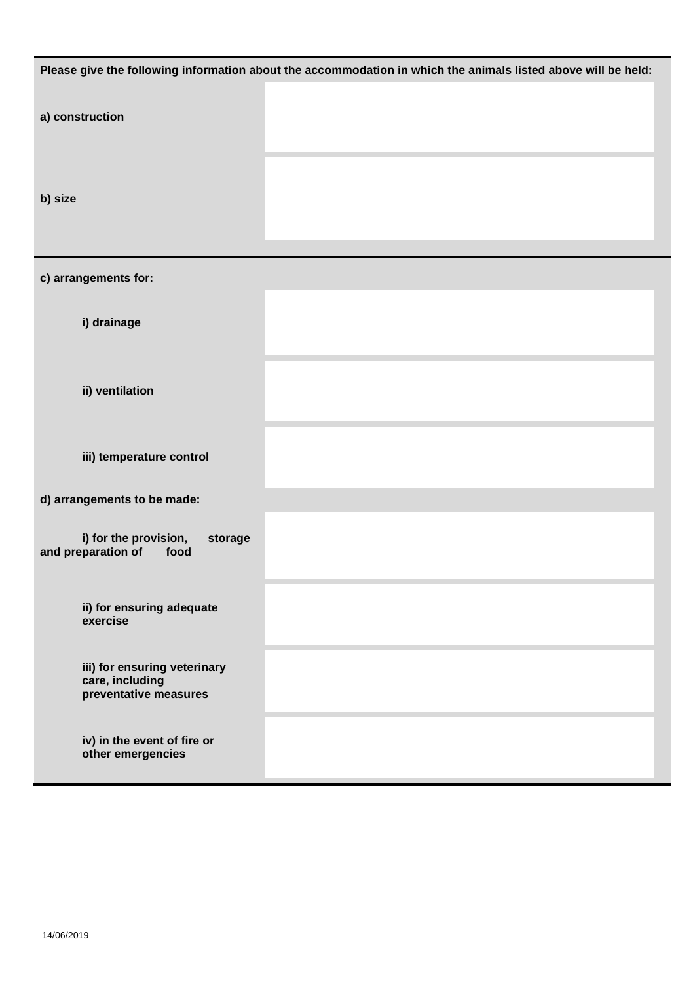|                                                                          | Please give the following information about the accommodation in which the animals listed above will be held: |
|--------------------------------------------------------------------------|---------------------------------------------------------------------------------------------------------------|
| a) construction                                                          |                                                                                                               |
| b) size                                                                  |                                                                                                               |
| c) arrangements for:                                                     |                                                                                                               |
| i) drainage                                                              |                                                                                                               |
| ii) ventilation                                                          |                                                                                                               |
| iii) temperature control                                                 |                                                                                                               |
| d) arrangements to be made:                                              |                                                                                                               |
| i) for the provision,<br>storage<br>and preparation of<br>food           |                                                                                                               |
| ii) for ensuring adequate<br>exercise                                    |                                                                                                               |
| iii) for ensuring veterinary<br>care, including<br>preventative measures |                                                                                                               |
| iv) in the event of fire or<br>other emergencies                         |                                                                                                               |